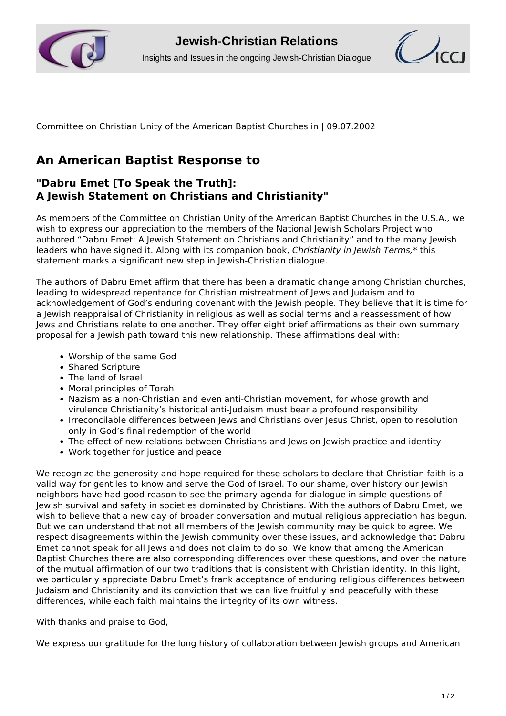



Committee on Christian Unity of the American Baptist Churches in | 09.07.2002

## **An American Baptist Response to**

## **"Dabru Emet [To Speak the Truth]: A Jewish Statement on Christians and Christianity"**

As members of the Committee on Christian Unity of the American Baptist Churches in the U.S.A., we wish to express our appreciation to the members of the National Jewish Scholars Project who authored "Dabru Emet: A Jewish Statement on Christians and Christianity" and to the many Jewish leaders who have signed it. Along with its companion book, *Christianity in Jewish Terms,*\* this statement marks a significant new step in Jewish-Christian dialogue.

The authors of Dabru Emet affirm that there has been a dramatic change among Christian churches, leading to widespread repentance for Christian mistreatment of Jews and Judaism and to acknowledgement of God's enduring covenant with the Jewish people. They believe that it is time for a Jewish reappraisal of Christianity in religious as well as social terms and a reassessment of how Jews and Christians relate to one another. They offer eight brief affirmations as their own summary proposal for a Jewish path toward this new relationship. These affirmations deal with:

- Worship of the same God
- Shared Scripture
- The land of Israel
- Moral principles of Torah
- Nazism as a non-Christian and even anti-Christian movement, for whose growth and virulence Christianity's historical anti-Judaism must bear a profound responsibility
- Irreconcilable differences between Jews and Christians over Jesus Christ, open to resolution only in God's final redemption of the world
- The effect of new relations between Christians and Jews on Jewish practice and identity
- Work together for justice and peace

We recognize the generosity and hope required for these scholars to declare that Christian faith is a valid way for gentiles to know and serve the God of Israel. To our shame, over history our Jewish neighbors have had good reason to see the primary agenda for dialogue in simple questions of Jewish survival and safety in societies dominated by Christians. With the authors of Dabru Emet, we wish to believe that a new day of broader conversation and mutual religious appreciation has begun. But we can understand that not all members of the Jewish community may be quick to agree. We respect disagreements within the Jewish community over these issues, and acknowledge that Dabru Emet cannot speak for all Jews and does not claim to do so. We know that among the American Baptist Churches there are also corresponding differences over these questions, and over the nature of the mutual affirmation of our two traditions that is consistent with Christian identity. In this light, we particularly appreciate Dabru Emet's frank acceptance of enduring religious differences between Judaism and Christianity and its conviction that we can live fruitfully and peacefully with these differences, while each faith maintains the integrity of its own witness.

With thanks and praise to God,

We express our gratitude for the long history of collaboration between Jewish groups and American